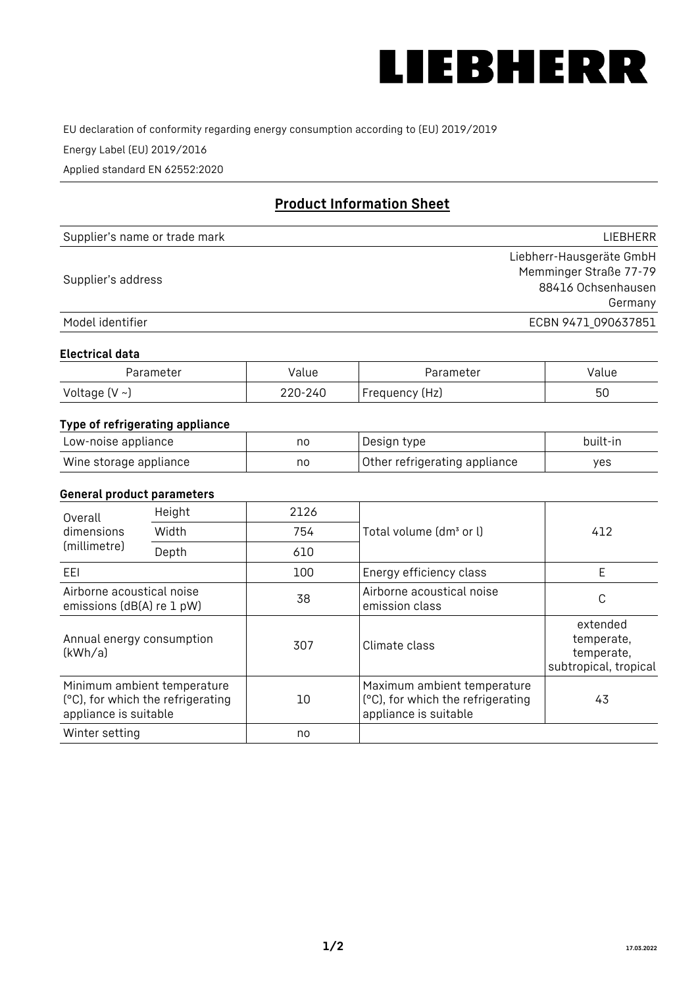

EU declaration of conformity regarding energy consumption according to (EU) 2019/2019

Energy Label (EU) 2019/2016

Applied standard EN 62552:2020

# **Product Information Sheet**

| Supplier's name or trade mark | <b>LIFBHFRR</b>          |
|-------------------------------|--------------------------|
|                               | Liebherr-Hausgeräte GmbH |
| Supplier's address            | Memminger Straße 77-79   |
|                               | 88416 Ochsenhausen       |
|                               | Germany                  |
| Model identifier              | ECBN 9471 090637851      |

#### **Electrical data**

| Parameter     | Value   | Parameter      | Value |
|---------------|---------|----------------|-------|
| Voltage (V ~) | 220-240 | Frequency (Hz) | 50    |

## **Type of refrigerating appliance**

| Low-noise appliance    | no | Design type                   | built-in |
|------------------------|----|-------------------------------|----------|
| Wine storage appliance | no | Other refrigerating appliance | ves      |

#### **General product parameters**

| Height<br>Overall<br>dimensions<br>Width<br>(millimetre)<br>Depth |                                                                  | 2126 |                                                                                           | 412                                                           |
|-------------------------------------------------------------------|------------------------------------------------------------------|------|-------------------------------------------------------------------------------------------|---------------------------------------------------------------|
|                                                                   |                                                                  | 754  | Total volume (dm <sup>3</sup> or l)                                                       |                                                               |
|                                                                   |                                                                  | 610  |                                                                                           |                                                               |
| EEL                                                               |                                                                  | 100  | Energy efficiency class                                                                   | E                                                             |
| Airborne acoustical noise<br>emissions (dB(A) re 1 pW)            |                                                                  | 38   | Airborne acoustical noise<br>emission class                                               | С                                                             |
| Annual energy consumption<br>(kWh/a)                              |                                                                  | 307  | Climate class                                                                             | extended<br>temperate,<br>temperate,<br>subtropical, tropical |
| appliance is suitable                                             | Minimum ambient temperature<br>(°C), for which the refrigerating | 10   | Maximum ambient temperature<br>(°C), for which the refrigerating<br>appliance is suitable | 43                                                            |
| Winter setting                                                    |                                                                  | no   |                                                                                           |                                                               |